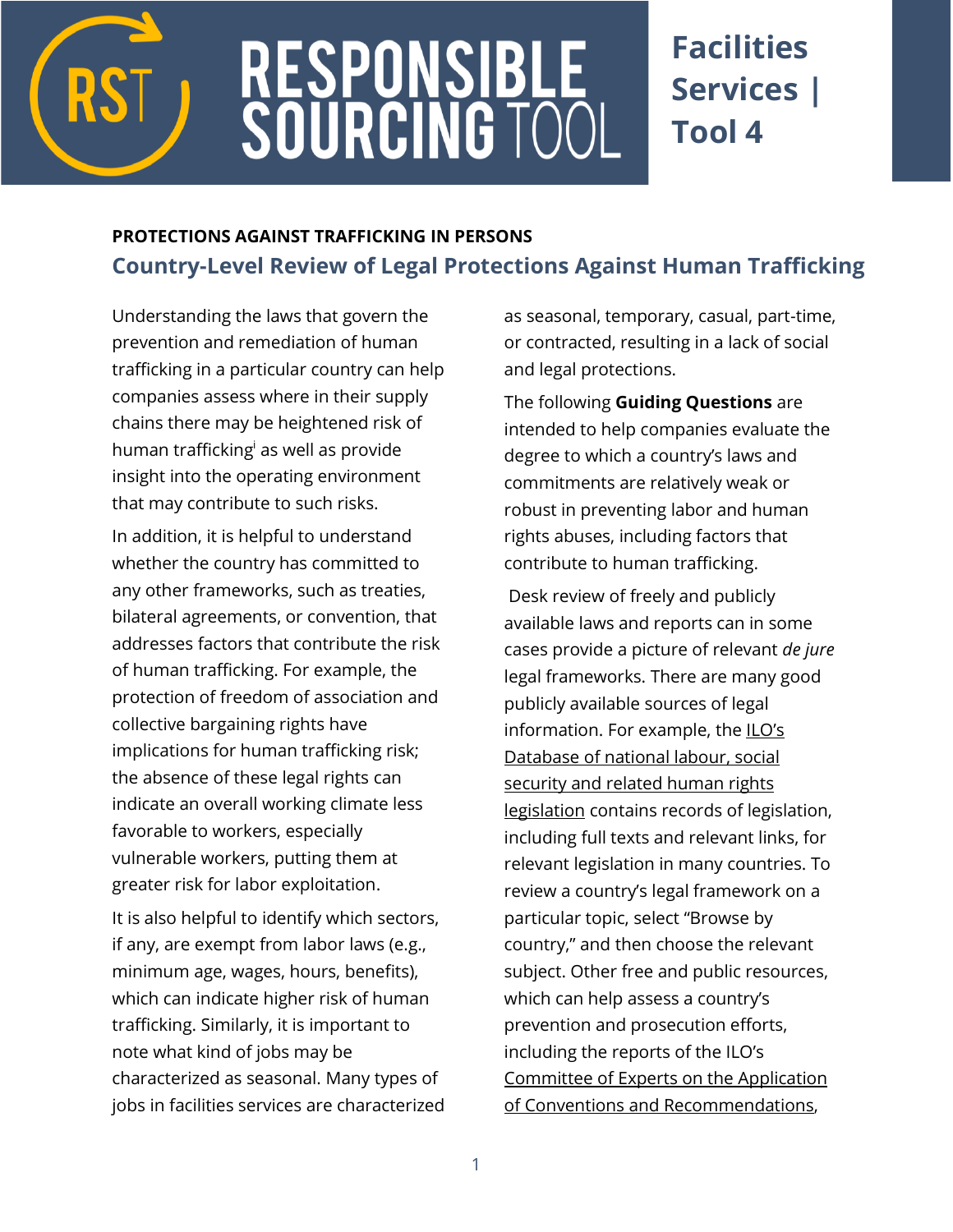

# RESPONSIBLE<br>SOURCING TOC

# **Facilities Services | Tool 4**

## **PROTECTIONS AGAINST TRAFFICKING IN PERSONS [Country-Level](http://verite.org/node/653/lightbox2) Review of Legal Protections Against Human Trafficking**

Understanding the laws that govern the prevention and remediation of human trafficking in a particular country can help companies assess where in their supply chains there may be heightened risk of human trafficking as well as provide insight into the operating environment that may contribute to such risks.

In addition, it is helpful to understand whether the country has committed to any other frameworks, such as treaties, bilateral agreements, or convention, that addresses factors that contribute the risk of human trafficking. For example, the protection of freedom of association and collective bargaining rights have implications for human trafficking risk; the absence of these legal rights can indicate an overall working climate less favorable to workers, especially vulnerable workers, putting them at greater risk for labor exploitation.

It is also helpful to identify which sectors, if any, are exempt from labor laws (e.g., minimum age, wages, hours, benefits), which can indicate higher risk of human trafficking. Similarly, it is important to note what kind of jobs may be characterized as seasonal. Many types of jobs in facilities services are characterized as seasonal, temporary, casual, part-time, or contracted, resulting in a lack of social and legal protections.

The following **Guiding Questions** are intended to help companies evaluate the degree to which a country's laws and commitments are relatively weak or robust in preventing labor and human rights abuses, including factors that contribute to human trafficking.

Desk review of freely and publicly available laws and reports can in some cases provide a picture of relevant *de jure*  legal frameworks. There are many good publicly available sources of legal information. For example, the [ILO's](http://www.ilo.org/dyn/natlex/natlex4.home)  [Database of national labour, social](http://www.ilo.org/dyn/natlex/natlex4.home)  security and related human rights [legislation](http://www.ilo.org/dyn/natlex/natlex4.home) contains records of legislation, including full texts and relevant links, for relevant legislation in many countries. To review a country's legal framework on a particular topic, select "Browse by country," and then choose the relevant subject. Other free and public resources, which can help assess a country's prevention and prosecution efforts, including the reports of the ILO's [Committee of Experts on the Application](https://www.ilo.org/global/standards/applying-and-promoting-international-labour-standards/committee-of-experts-on-the-application-of-conventions-and-recommendations/lang--en/index.htm)  [of Conventions and Recommendations,](https://www.ilo.org/global/standards/applying-and-promoting-international-labour-standards/committee-of-experts-on-the-application-of-conventions-and-recommendations/lang--en/index.htm)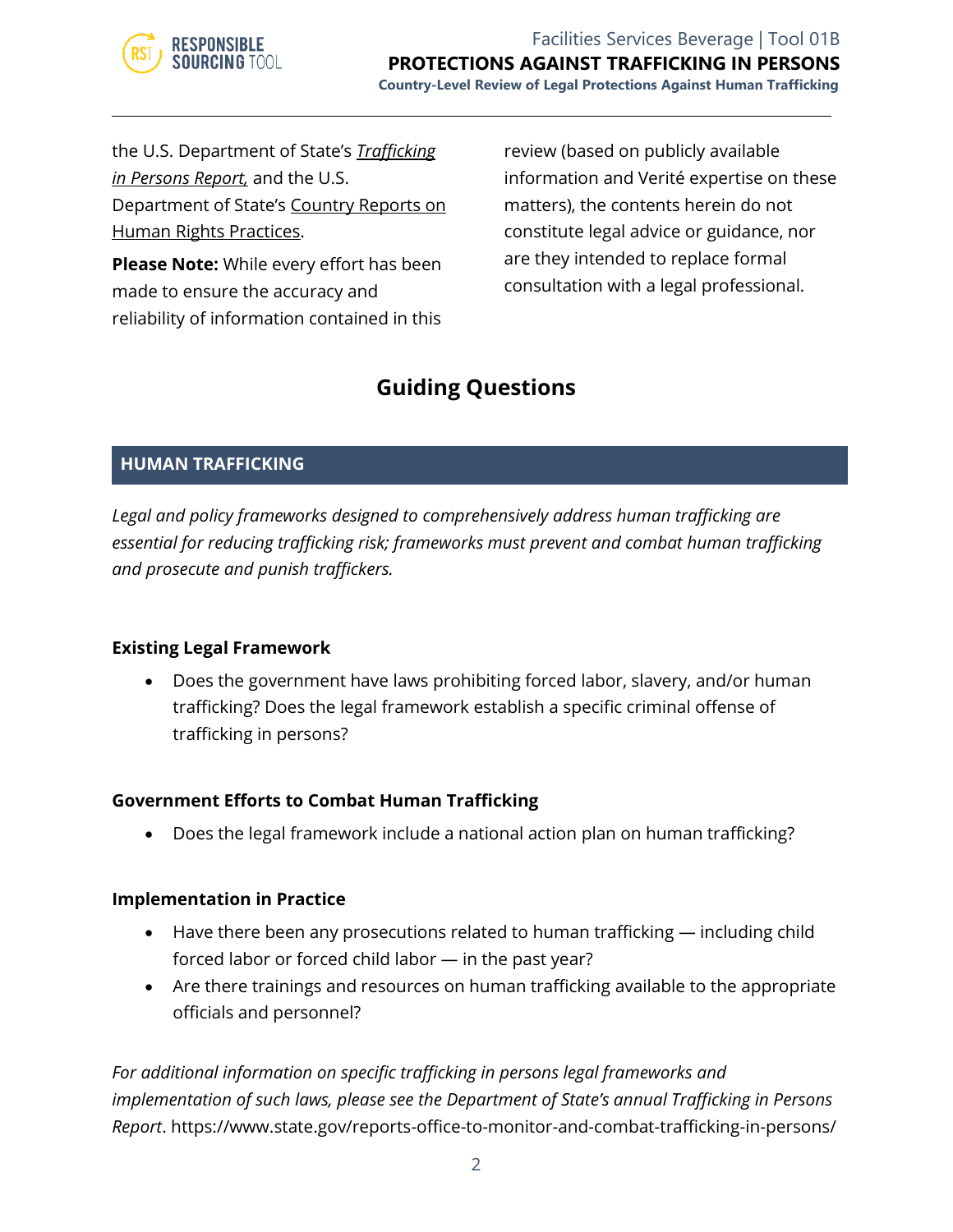

the U.S. Department of State's *[Trafficking](https://www.state.gov/j/tip/rls/tiprpt/)  [in Persons Report,](https://www.state.gov/j/tip/rls/tiprpt/)* and the U.S. Department of State's [Country Reports on](https://www.state.gov/j/drl/rls/hrrpt/)  [Human Rights Practices.](https://www.state.gov/j/drl/rls/hrrpt/)

**Please Note:** While every effort has been made to ensure the accuracy and reliability of information contained in this review (based on publicly available information and Verité expertise on these matters), the contents herein do not constitute legal advice or guidance, nor are they intended to replace formal consultation with a legal professional.

### **Guiding Questions**

#### **HUMAN TRAFFICKING**

*Legal and policy frameworks designed to comprehensively address human trafficking are essential for reducing trafficking risk; frameworks must prevent and combat human trafficking and prosecute and punish traffickers.*

#### **Existing Legal Framework**

• Does the government have laws prohibiting forced labor, slavery, and/or human trafficking? Does the legal framework establish a specific criminal offense of trafficking in persons?

#### **Government Efforts to Combat Human Trafficking**

• Does the legal framework include a national action plan on human trafficking?

#### **Implementation in Practice**

- Have there been any prosecutions related to human trafficking including child forced labor or forced child labor — in the past year?
- Are there trainings and resources on human trafficking available to the appropriate officials and personnel?

*For additional information on specific trafficking in persons legal frameworks and implementation of such laws, please see the Department of State's annual Trafficking in Persons Report*. https://www.state.gov/reports-office-to-monitor-and-combat-trafficking-in-persons/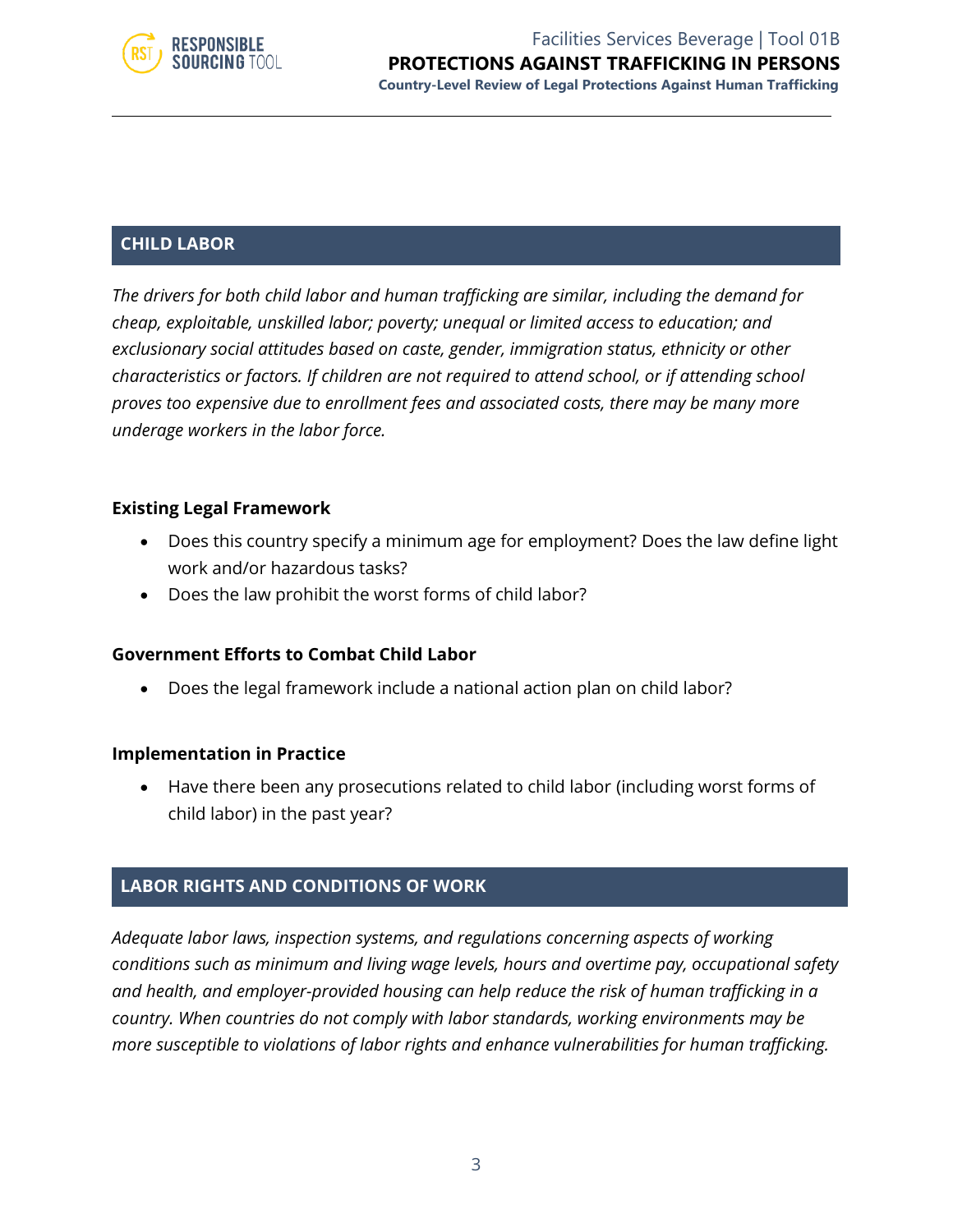

#### Facilities Services Beverage | Tool 01B **PROTECTIONS AGAINST TRAFFICKING IN PERSONS Country-Level Review of Legal Protections Against Human Trafficking**

#### **CHILD LABOR**

*The drivers for both child labor and human trafficking are similar, including the demand for cheap, exploitable, unskilled labor; poverty; unequal or limited access to education; and exclusionary social attitudes based on caste, gender, immigration status, ethnicity or other characteristics or factors. If children are not required to attend school, or if attending school proves too expensive due to enrollment fees and associated costs, there may be many more underage workers in the labor force.* 

#### **Existing Legal Framework**

- Does this country specify a minimum age for employment? Does the law define light work and/or hazardous tasks?
- Does the law prohibit the worst forms of child labor?

#### **Government Efforts to Combat Child Labor**

• Does the legal framework include a national action plan on child labor?

#### **Implementation in Practice**

• Have there been any prosecutions related to child labor (including worst forms of child labor) in the past year?

#### **LABOR RIGHTS AND CONDITIONS OF WORK**

*Adequate labor laws, inspection systems, and regulations concerning aspects of working conditions such as minimum and living wage levels, hours and overtime pay, occupational safety and health, and employer-provided housing can help reduce the risk of human trafficking in a country. When countries do not comply with labor standards, working environments may be more susceptible to violations of labor rights and enhance vulnerabilities for human trafficking.*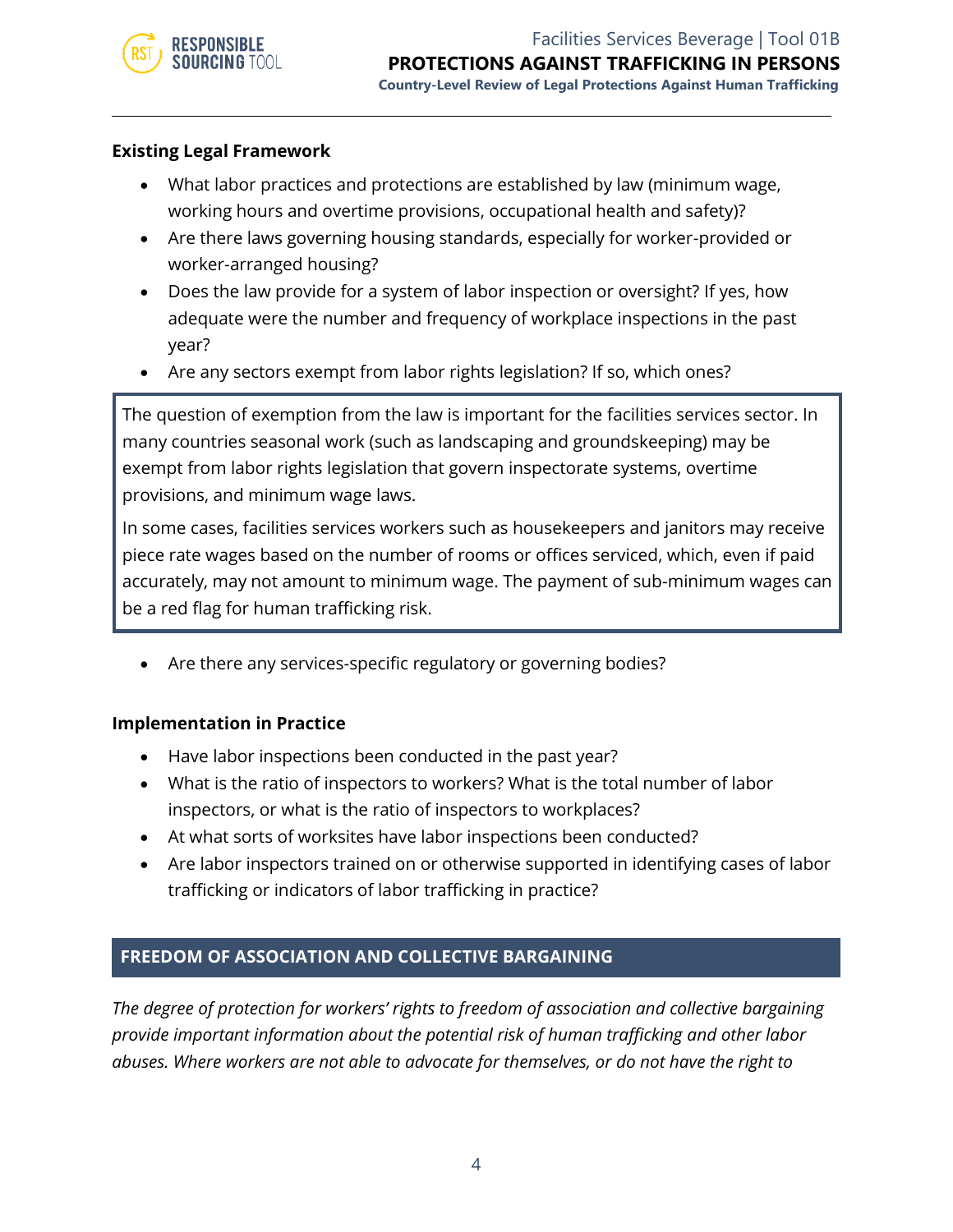

#### **Existing Legal Framework**

- What labor practices and protections are established by law (minimum wage, working hours and overtime provisions, occupational health and safety)?
- Are there laws governing housing standards, especially for worker-provided or worker-arranged housing?
- Does the law provide for a system of labor inspection or oversight? If yes, how adequate were the number and frequency of workplace inspections in the past year?
- Are any sectors exempt from labor rights legislation? If so, which ones?

The question of exemption from the law is important for the facilities services sector. In many countries seasonal work (such as landscaping and groundskeeping) may be exempt from labor rights legislation that govern inspectorate systems, overtime provisions, and minimum wage laws.

In some cases, facilities services workers such as housekeepers and janitors may receive piece rate wages based on the number of rooms or offices serviced, which, even if paid accurately, may not amount to minimum wage. The payment of sub-minimum wages can be a red flag for human trafficking risk.

Are there any services-specific regulatory or governing bodies?

#### **Implementation in Practice**

- Have labor inspections been conducted in the past year?
- What is the ratio of inspectors to workers? What is the total number of labor inspectors, or what is the ratio of inspectors to workplaces?
- At what sorts of worksites have labor inspections been conducted?
- Are labor inspectors trained on or otherwise supported in identifying cases of labor trafficking or indicators of labor trafficking in practice?

#### **FREEDOM OF ASSOCIATION AND COLLECTIVE BARGAINING**

*The degree of protection for workers' rights to freedom of association and collective bargaining provide important information about the potential risk of human trafficking and other labor abuses. Where workers are not able to advocate for themselves, or do not have the right to*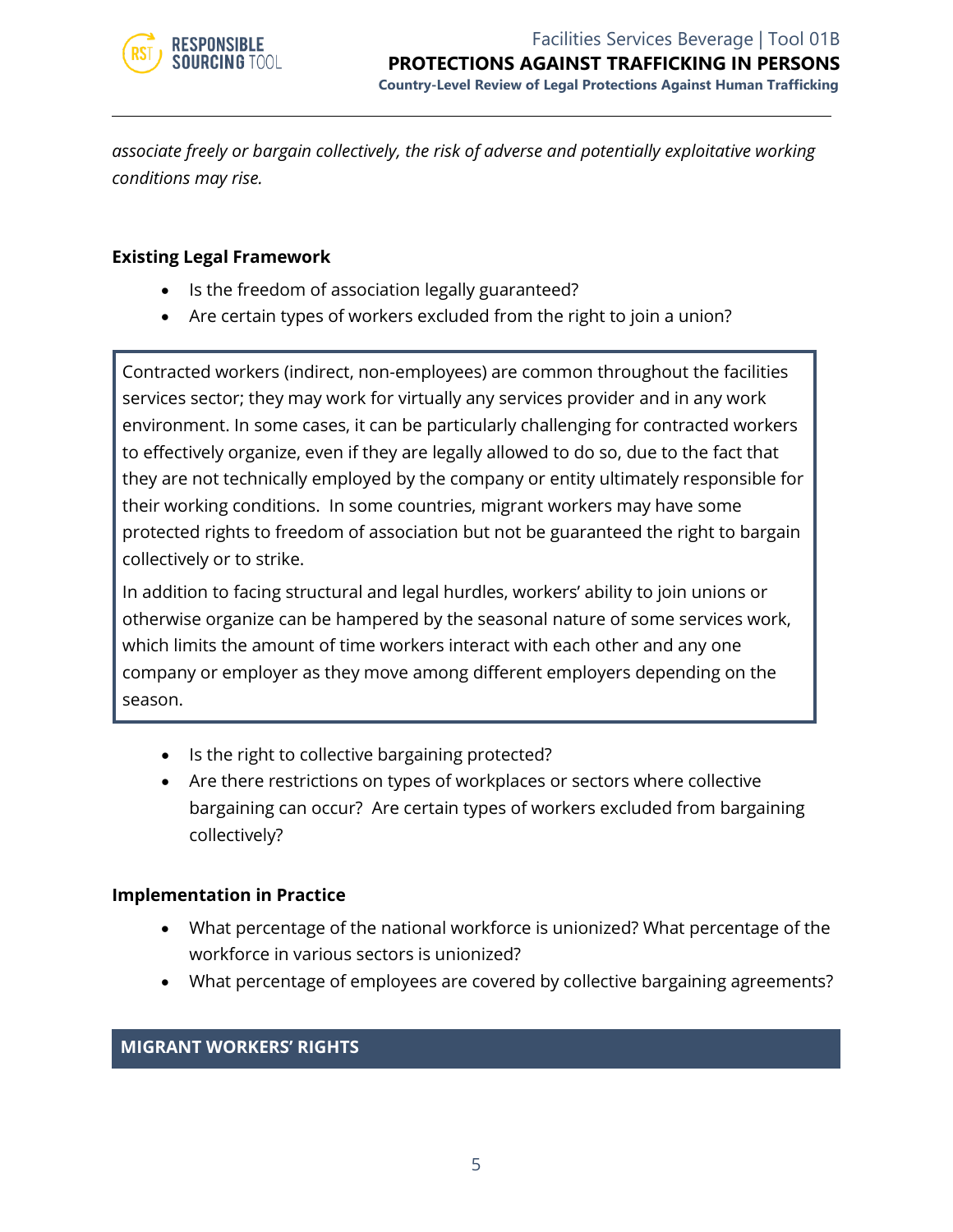

*associate freely or bargain collectively, the risk of adverse and potentially exploitative working conditions may rise.*

#### **Existing Legal Framework**

- Is the freedom of association legally guaranteed?
- Are certain types of workers excluded from the right to join a union?

Contracted workers (indirect, non-employees) are common throughout the facilities services sector; they may work for virtually any services provider and in any work environment. In some cases, it can be particularly challenging for contracted workers to effectively organize, even if they are legally allowed to do so, due to the fact that they are not technically employed by the company or entity ultimately responsible for their working conditions. In some countries, migrant workers may have some protected rights to freedom of association but not be guaranteed the right to bargain collectively or to strike.

In addition to facing structural and legal hurdles, workers' ability to join unions or otherwise organize can be hampered by the seasonal nature of some services work, which limits the amount of time workers interact with each other and any one company or employer as they move among different employers depending on the season.

- Is the right to collective bargaining protected?
- Are there restrictions on types of workplaces or sectors where collective bargaining can occur? Are certain types of workers excluded from bargaining collectively?

#### **Implementation in Practice**

- What percentage of the national workforce is unionized? What percentage of the workforce in various sectors is unionized?
- What percentage of employees are covered by collective bargaining agreements?

#### **MIGRANT WORKERS' RIGHTS**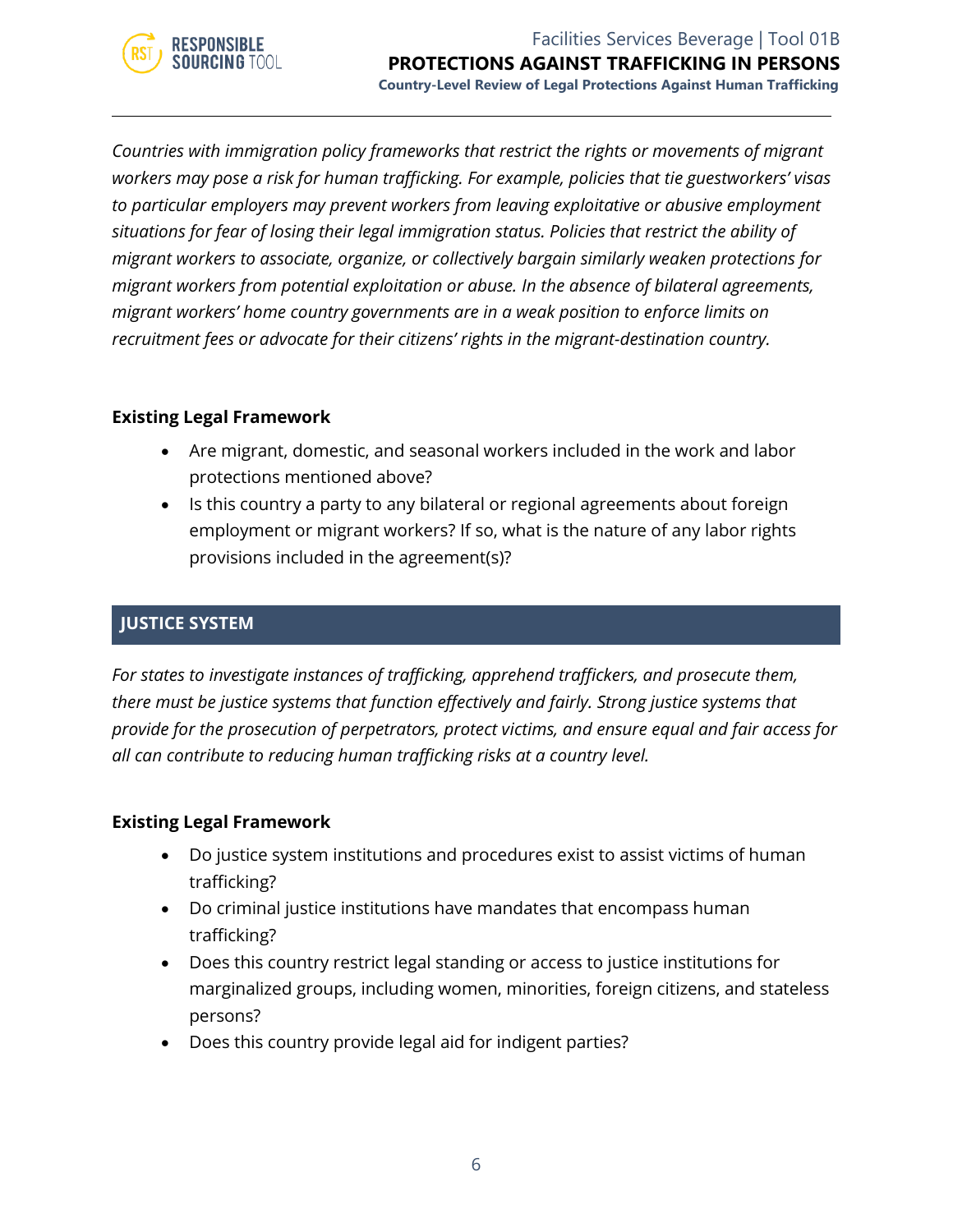

*Countries with immigration policy frameworks that restrict the rights or movements of migrant workers may pose a risk for human trafficking. For example, policies that tie guestworkers' visas to particular employers may prevent workers from leaving exploitative or abusive employment situations for fear of losing their legal immigration status. Policies that restrict the ability of migrant workers to associate, organize, or collectively bargain similarly weaken protections for migrant workers from potential exploitation or abuse. In the absence of bilateral agreements, migrant workers' home country governments are in a weak position to enforce limits on recruitment fees or advocate for their citizens' rights in the migrant-destination country.*

#### **Existing Legal Framework**

- Are migrant, domestic, and seasonal workers included in the work and labor protections mentioned above?
- Is this country a party to any bilateral or regional agreements about foreign employment or migrant workers? If so, what is the nature of any labor rights provisions included in the agreement(s)?

#### **JUSTICE SYSTEM**

*For states to investigate instances of trafficking, apprehend traffickers, and prosecute them, there must be justice systems that function effectively and fairly. Strong justice systems that provide for the prosecution of perpetrators, protect victims, and ensure equal and fair access for all can contribute to reducing human trafficking risks at a country level.*

#### **Existing Legal Framework**

- Do justice system institutions and procedures exist to assist victims of human trafficking?
- Do criminal justice institutions have mandates that encompass human trafficking?
- Does this country restrict legal standing or access to justice institutions for marginalized groups, including women, minorities, foreign citizens, and stateless persons?
- Does this country provide legal aid for indigent parties?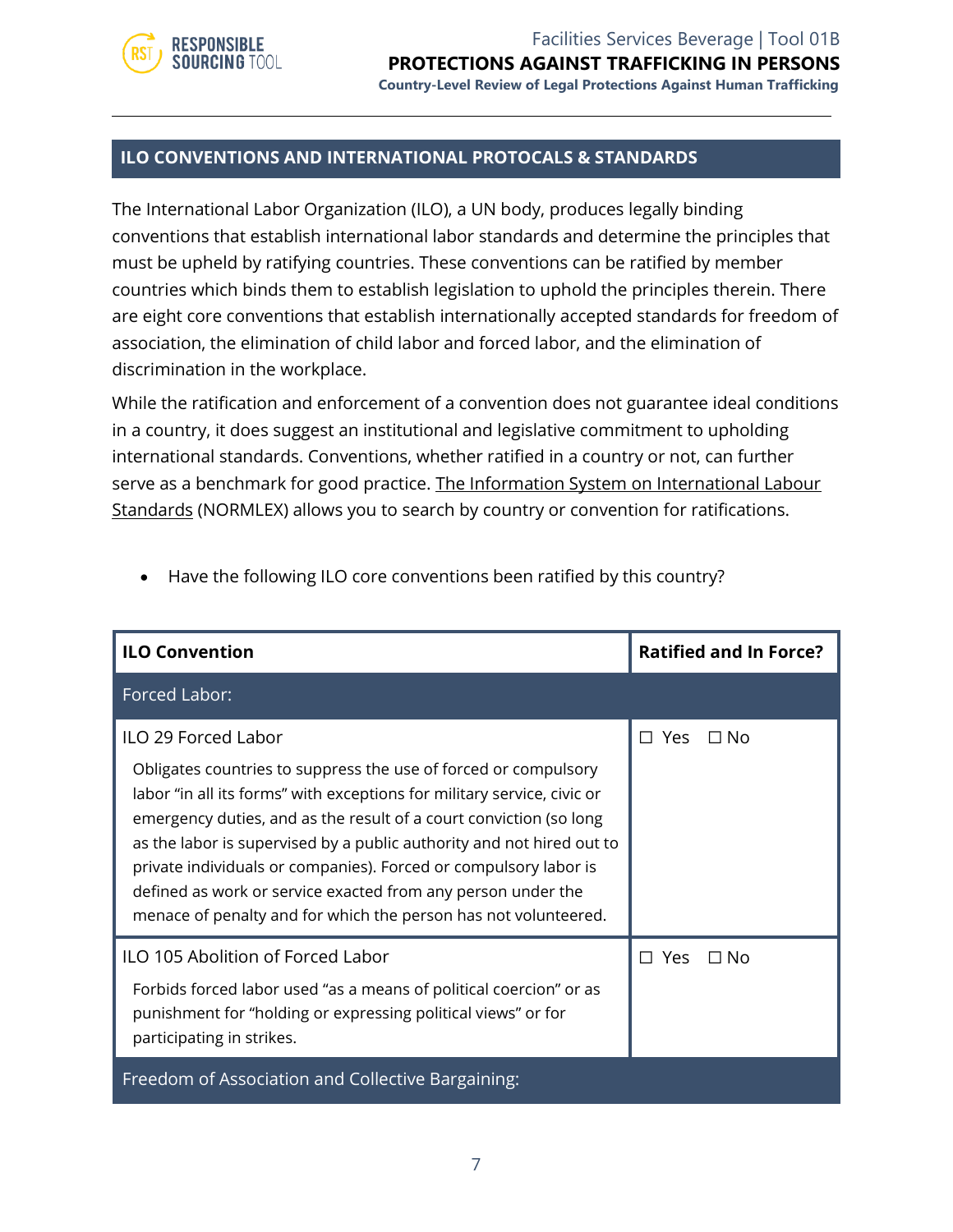

Facilities Services Beverage | Tool 01B **PROTECTIONS AGAINST TRAFFICKING IN PERSONS**

**Country-Level Review of Legal Protections Against Human Trafficking**

#### **ILO CONVENTIONS AND INTERNATIONAL PROTOCALS & STANDARDS**

The International Labor Organization (ILO), a UN body, produces legally binding conventions that establish international labor standards and determine the principles that must be upheld by ratifying countries. These conventions can be ratified by member countries which binds them to establish legislation to uphold the principles therein. There are eight core conventions that establish internationally accepted standards for freedom of association, the elimination of child labor and forced labor, and the elimination of discrimination in the workplace.

While the ratification and enforcement of a convention does not guarantee ideal conditions in a country, it does suggest an institutional and legislative commitment to upholding international standards. Conventions, whether ratified in a country or not, can further serve as a benchmark for good practice. [The Information System on International Labour](http://www.ilo.org/dyn/normlex/en/f?p=NORMLEXPUB:11001:0::NO:::)  [Standards](http://www.ilo.org/dyn/normlex/en/f?p=NORMLEXPUB:11001:0::NO:::) (NORMLEX) allows you to search by country or convention for ratifications.

| <b>ILO Convention</b>                                                                                                                                                                                                                                                                                                                                                                                                                                                                                                          | <b>Ratified and In Force?</b> |           |
|--------------------------------------------------------------------------------------------------------------------------------------------------------------------------------------------------------------------------------------------------------------------------------------------------------------------------------------------------------------------------------------------------------------------------------------------------------------------------------------------------------------------------------|-------------------------------|-----------|
| Forced Labor:                                                                                                                                                                                                                                                                                                                                                                                                                                                                                                                  |                               |           |
| <b>ILO 29 Forced Labor</b><br>Obligates countries to suppress the use of forced or compulsory<br>labor "in all its forms" with exceptions for military service, civic or<br>emergency duties, and as the result of a court conviction (so long<br>as the labor is supervised by a public authority and not hired out to<br>private individuals or companies). Forced or compulsory labor is<br>defined as work or service exacted from any person under the<br>menace of penalty and for which the person has not volunteered. | $\Box$ Yes                    | $\Box$ No |
| ILO 105 Abolition of Forced Labor<br>Forbids forced labor used "as a means of political coercion" or as<br>punishment for "holding or expressing political views" or for<br>participating in strikes.                                                                                                                                                                                                                                                                                                                          | $\Box$ Yes                    | ∩ No      |
| Freedom of Association and Collective Bargaining:                                                                                                                                                                                                                                                                                                                                                                                                                                                                              |                               |           |

• Have the following ILO core conventions been ratified by this country?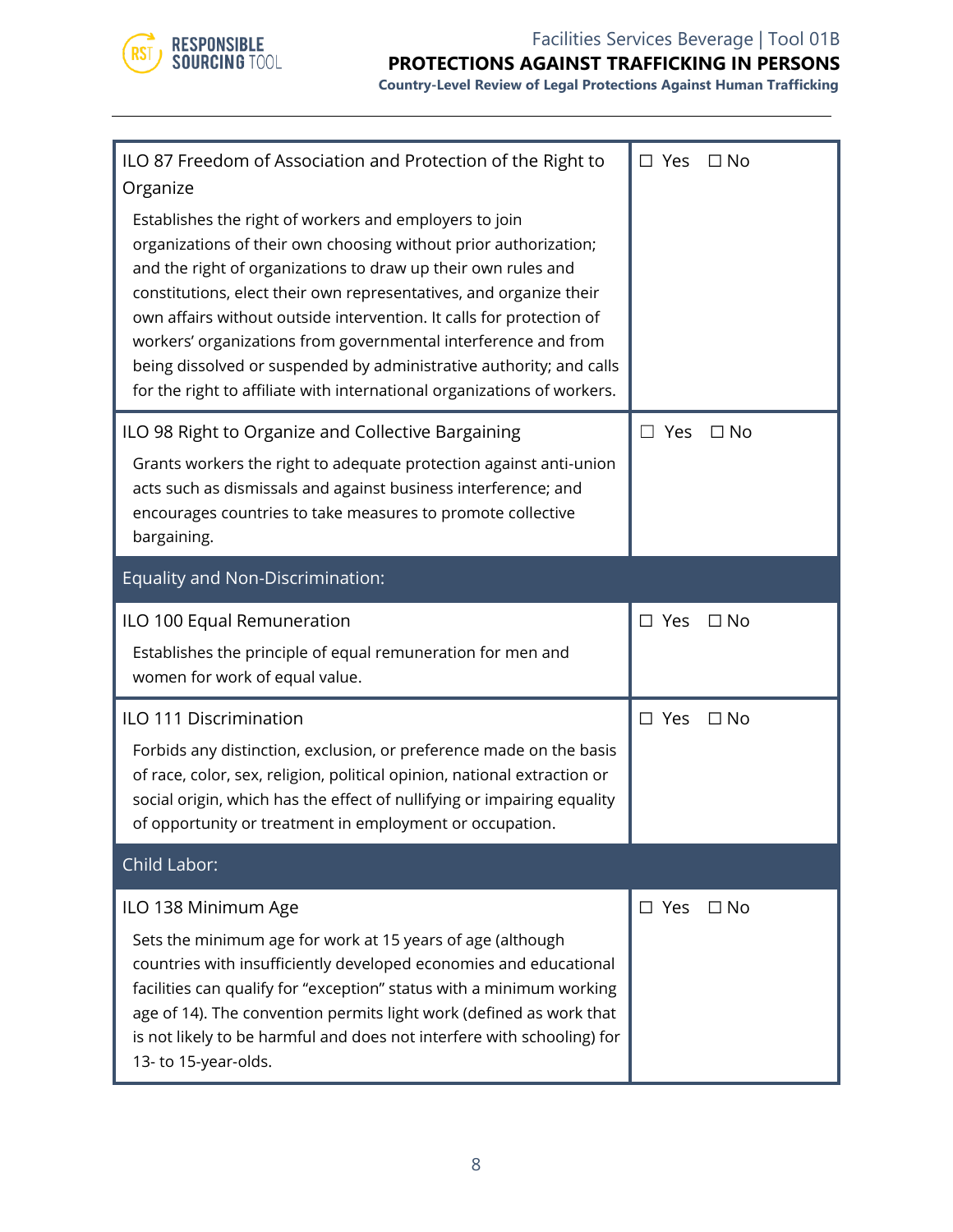

#### Facilities Services Beverage | Tool 01B

#### **PROTECTIONS AGAINST TRAFFICKING IN PERSONS**

**Country-Level Review of Legal Protections Against Human Trafficking**

| ILO 87 Freedom of Association and Protection of the Right to<br>Organize                                                                                                                                                                                                                                                                                                                                                                                                                                                                                      | $\square$ Yes | $\Box$ No    |
|---------------------------------------------------------------------------------------------------------------------------------------------------------------------------------------------------------------------------------------------------------------------------------------------------------------------------------------------------------------------------------------------------------------------------------------------------------------------------------------------------------------------------------------------------------------|---------------|--------------|
| Establishes the right of workers and employers to join<br>organizations of their own choosing without prior authorization;<br>and the right of organizations to draw up their own rules and<br>constitutions, elect their own representatives, and organize their<br>own affairs without outside intervention. It calls for protection of<br>workers' organizations from governmental interference and from<br>being dissolved or suspended by administrative authority; and calls<br>for the right to affiliate with international organizations of workers. |               |              |
| ILO 98 Right to Organize and Collective Bargaining<br>Grants workers the right to adequate protection against anti-union<br>acts such as dismissals and against business interference; and<br>encourages countries to take measures to promote collective                                                                                                                                                                                                                                                                                                     | $\Box$ Yes    | $\Box$ No    |
| bargaining.                                                                                                                                                                                                                                                                                                                                                                                                                                                                                                                                                   |               |              |
| Equality and Non-Discrimination:                                                                                                                                                                                                                                                                                                                                                                                                                                                                                                                              |               |              |
| ILO 100 Equal Remuneration<br>Establishes the principle of equal remuneration for men and<br>women for work of equal value.                                                                                                                                                                                                                                                                                                                                                                                                                                   | $\square$ Yes | $\Box$ No    |
| ILO 111 Discrimination<br>Forbids any distinction, exclusion, or preference made on the basis<br>of race, color, sex, religion, political opinion, national extraction or<br>social origin, which has the effect of nullifying or impairing equality<br>of opportunity or treatment in employment or occupation.                                                                                                                                                                                                                                              | $\square$ Yes | $\square$ No |
| Child Labor:                                                                                                                                                                                                                                                                                                                                                                                                                                                                                                                                                  |               |              |
| ILO 138 Minimum Age<br>Sets the minimum age for work at 15 years of age (although<br>countries with insufficiently developed economies and educational<br>facilities can qualify for "exception" status with a minimum working<br>age of 14). The convention permits light work (defined as work that<br>is not likely to be harmful and does not interfere with schooling) for<br>13- to 15-year-olds.                                                                                                                                                       | $\square$ Yes | $\Box$ No    |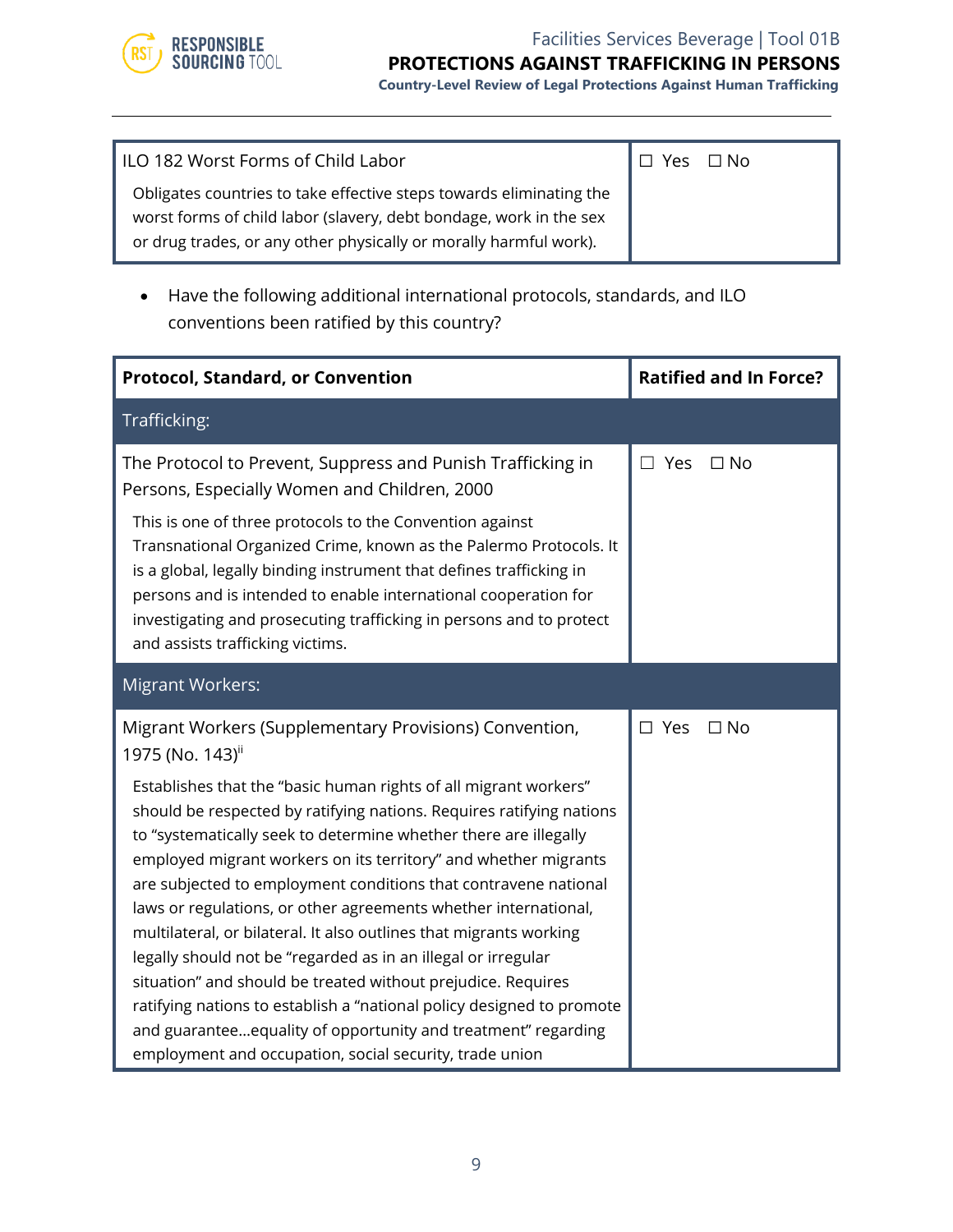

#### Facilities Services Beverage | Tool 01B

#### **PROTECTIONS AGAINST TRAFFICKING IN PERSONS**

**Country-Level Review of Legal Protections Against Human Trafficking**

| ILO 182 Worst Forms of Child Labor                                                                                                                                                                             | $\Box$ Yes $\Box$ No |  |
|----------------------------------------------------------------------------------------------------------------------------------------------------------------------------------------------------------------|----------------------|--|
| Obligates countries to take effective steps towards eliminating the<br>worst forms of child labor (slavery, debt bondage, work in the sex<br>or drug trades, or any other physically or morally harmful work). |                      |  |

• Have the following additional international protocols, standards, and ILO conventions been ratified by this country?

| <b>Protocol, Standard, or Convention</b>                                                                                                                                                                                                                                                                                                                                                                                                                                                                                                                                                                                                                                                                                                                               | <b>Ratified and In Force?</b> |
|------------------------------------------------------------------------------------------------------------------------------------------------------------------------------------------------------------------------------------------------------------------------------------------------------------------------------------------------------------------------------------------------------------------------------------------------------------------------------------------------------------------------------------------------------------------------------------------------------------------------------------------------------------------------------------------------------------------------------------------------------------------------|-------------------------------|
| Trafficking:                                                                                                                                                                                                                                                                                                                                                                                                                                                                                                                                                                                                                                                                                                                                                           |                               |
| The Protocol to Prevent, Suppress and Punish Trafficking in<br>Persons, Especially Women and Children, 2000                                                                                                                                                                                                                                                                                                                                                                                                                                                                                                                                                                                                                                                            | $\Box$ Yes<br>$\square$ No    |
| This is one of three protocols to the Convention against<br>Transnational Organized Crime, known as the Palermo Protocols. It<br>is a global, legally binding instrument that defines trafficking in<br>persons and is intended to enable international cooperation for<br>investigating and prosecuting trafficking in persons and to protect<br>and assists trafficking victims.                                                                                                                                                                                                                                                                                                                                                                                     |                               |
| <b>Migrant Workers:</b>                                                                                                                                                                                                                                                                                                                                                                                                                                                                                                                                                                                                                                                                                                                                                |                               |
| Migrant Workers (Supplementary Provisions) Convention,<br>1975 (No. 143) <sup>ii</sup>                                                                                                                                                                                                                                                                                                                                                                                                                                                                                                                                                                                                                                                                                 | $\square$ Yes<br>$\Box$ No    |
| Establishes that the "basic human rights of all migrant workers"<br>should be respected by ratifying nations. Requires ratifying nations<br>to "systematically seek to determine whether there are illegally<br>employed migrant workers on its territory" and whether migrants<br>are subjected to employment conditions that contravene national<br>laws or regulations, or other agreements whether international,<br>multilateral, or bilateral. It also outlines that migrants working<br>legally should not be "regarded as in an illegal or irregular<br>situation" and should be treated without prejudice. Requires<br>ratifying nations to establish a "national policy designed to promote<br>and guaranteeequality of opportunity and treatment" regarding |                               |
| employment and occupation, social security, trade union                                                                                                                                                                                                                                                                                                                                                                                                                                                                                                                                                                                                                                                                                                                |                               |